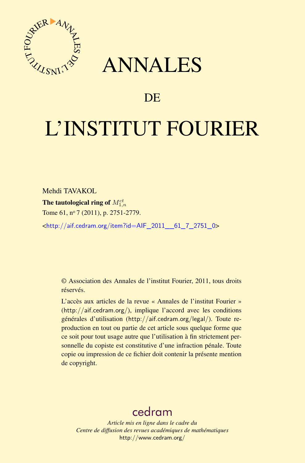

## ANNALES

## **DE**

# L'INSTITUT FOURIER

Mehdi TAVAKOL

The tautological ring of  $M^{ct}_{1,n}$ Tome 61, nº 7 (2011), p. 2751-2779.

<[http://aif.cedram.org/item?id=AIF\\_2011\\_\\_61\\_7\\_2751\\_0](http://aif.cedram.org/item?id=AIF_2011__61_7_2751_0)>

© Association des Annales de l'institut Fourier, 2011, tous droits réservés.

L'accès aux articles de la revue « Annales de l'institut Fourier » (<http://aif.cedram.org/>), implique l'accord avec les conditions générales d'utilisation (<http://aif.cedram.org/legal/>). Toute reproduction en tout ou partie de cet article sous quelque forme que ce soit pour tout usage autre que l'utilisation à fin strictement personnelle du copiste est constitutive d'une infraction pénale. Toute copie ou impression de ce fichier doit contenir la présente mention de copyright.

## [cedram](http://www.cedram.org/)

*Article mis en ligne dans le cadre du Centre de diffusion des revues académiques de mathématiques* <http://www.cedram.org/>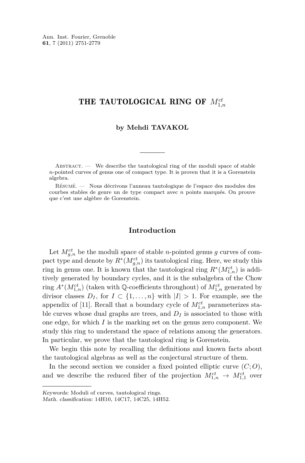Ann. Inst. Fourier, Grenoble **61**, 7 (2011) 2751-2779

## THE TAUTOLOGICAL RING OF  $M_{1,n}^{ct}$

#### **by Mehdi TAVAKOL**

ABSTRACT.  $\qquad$  We describe the tautological ring of the moduli space of stable *n*-pointed curves of genus one of compact type. It is proven that it is a Gorenstein algebra.

Résumé. — Nous décrivons l'anneau tautologique de l'espace des modules des courbes stables de genre un de type compact avec *n* points marqués. On prouve que c'est une algèbre de Gorenstein.

#### **Introduction**

Let  $M_{g,n}^{ct}$  be the moduli space of stable *n*-pointed genus *g* curves of compact type and denote by  $R^*(M_{g,n}^{ct})$  its tautological ring. Here, we study this ring in genus one. It is known that the tautological ring  $R^*(M_{1,n}^{ct})$  is additively generated by boundary cycles, and it is the subalgebra of the Chow ring  $A^*(M_{1,n}^{ct})$  (taken with Q-coefficients throughout) of  $M_{1,n}^{ct}$  generated by divisor classes  $D_I$ , for  $I \subset \{1, \ldots, n\}$  with  $|I| > 1$ . For example, see the appendix of [\[11\]](#page-29-0). Recall that a boundary cycle of  $M^{ct}_{1,n}$  parameterizes stable curves whose dual graphs are trees, and  $D<sub>I</sub>$  is associated to those with one edge, for which *I* is the marking set on the genus zero component. We study this ring to understand the space of relations among the generators. In particular, we prove that the tautological ring is Gorenstein.

We begin this note by recalling the definitions and known facts about the tautological algebras as well as the conjectural structure of them.

In the second section we consider a fixed pointed elliptic curve  $(C; O)$ , and we describe the reduced fiber of the projection  $M_{1,n}^{ct} \rightarrow M_{1,1}^{ct}$  over

Keywords: Moduli of curves, tautological rings.

Math. classification: 14H10, 14C17, 14C25, 14H52.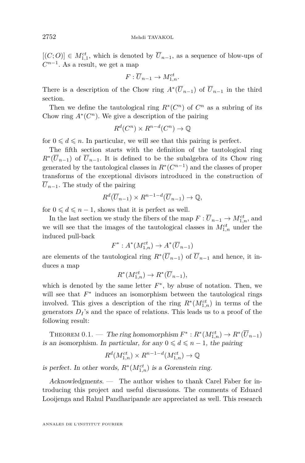<span id="page-2-0"></span> $[(C; O)] \in M_{1,1}^{ct}$ , which is denoted by  $\overline{U}_{n-1}$ , as a sequence of blow-ups of  $C^{n-1}$ . As a result, we get a map

$$
F:\overline{U}_{n-1}\to M_{1,n}^{ct}.
$$

There is a description of the Chow ring  $A^*(\overline{U}_{n-1})$  of  $\overline{U}_{n-1}$  in the third section.

Then we define the tautological ring  $R^*(C^n)$  of  $C^n$  as a subring of its Chow ring  $A^*(C^n)$ . We give a description of the pairing

$$
R^d(C^n) \times R^{n-d}(C^n) \to \mathbb{Q}
$$

for  $0 \leq d \leq n$ . In particular, we will see that this pairing is perfect.

The fifth section starts with the definition of the tautological ring  $R^*(\overline{U}_{n-1})$  of  $\overline{U}_{n-1}$ . It is defined to be the subalgebra of its Chow ring generated by the tautological classes in  $R^*(C^{n-1})$  and the classes of proper transforms of the exceptional divisors introduced in the construction of  $\overline{U}_{n-1}$ . The study of the pairing

$$
R^d(\overline{U}_{n-1}) \times R^{n-1-d}(\overline{U}_{n-1}) \to \mathbb{Q},
$$

for  $0 \leq d \leq n-1$ , shows that it is perfect as well.

In the last section we study the fibers of the map  $F: \overline{U}_{n-1} \to M_{1,n}^{ct}$ , and we will see that the images of the tautological classes in  $M^{ct}_{1,n}$  under the induced pull-back

$$
F^*: A^*(M^{ct}_{1,n}) \to A^*(\overline{U}_{n-1})
$$

are elements of the tautological ring  $R^*(\overline{U}_{n-1})$  of  $\overline{U}_{n-1}$  and hence, it induces a map

$$
R^*(M_{1,n}^{ct}) \to R^*(\overline{U}_{n-1}),
$$

which is denoted by the same letter  $F^*$ , by abuse of notation. Then, we will see that  $F^*$  induces an isomorphism between the tautological rings involved. This gives a description of the ring  $R^*(M_{1,n}^{ct})$  in terms of the generators  $D_I$ 's and the space of relations. This leads us to a proof of the following result:

THEOREM 0.1. — The ring homomorphism  $F^* : R^*(M_{1,n}^{ct}) \to R^*(\overline{U}_{n-1})$ is an isomorphism. In particular, for any  $0 \leq d \leq n-1$ , the pairing

$$
R^d(M_{1,n}^{ct}) \times R^{n-1-d}(M_{1,n}^{ct}) \to \mathbb{Q}
$$

is perfect. In other words,  $R^*(M_{1,n}^{ct})$  is a Gorenstein ring.

Acknowledgments. — The author wishes to thank Carel Faber for introducing this project and useful discussions. The comments of Eduard Looijenga and Rahul Pandharipande are appreciated as well. This research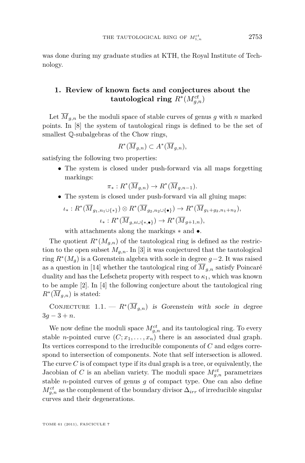<span id="page-3-0"></span>was done during my graduate studies at KTH, the Royal Institute of Technology.

#### **1. Review of known facts and conjectures about the**  $\tanh$   $R^*(M_{g,n}^{ct})$

Let  $\overline{M}_{g,n}$  be the moduli space of stable curves of genus g with n marked points. In [\[8\]](#page-28-0) the system of tautological rings is defined to be the set of smallest Q-subalgebras of the Chow rings,

$$
R^*(\overline{M}_{g,n}) \subset A^*(\overline{M}_{g,n}),
$$

satisfying the following two properties:

• The system is closed under push-forward via all maps forgetting markings:

$$
\pi_*: R^*(\overline{M}_{g,n}) \to R^*(\overline{M}_{g,n-1}).
$$

• The system is closed under push-forward via all gluing maps:

$$
\iota_*: R^*(\overline{M}_{g_1,n_1\cup\{*\}}) \otimes R^*(\overline{M}_{g_2,n_2\cup\{\bullet\}}) \to R^*(\overline{M}_{g_1+g_2,n_1+n_2}),
$$
  

$$
\iota_*: R^*(\overline{M}_{g,n\cup\{*,\bullet\}}) \to R^*(\overline{M}_{g+1,n}),
$$

with attachments along the markings ∗ and •.

The quotient  $R^*(M_{g,n})$  of the tautological ring is defined as the restriction to the open subset  $M_{q,n}$ . In [\[3\]](#page-28-0) it was conjectured that the tautological ring *R*<sup>∗</sup> (*Mg*) is a Gorenstein algebra with socle in degree *g*−2. It was raised as a question in [\[14\]](#page-29-0) whether the tautological ring of  $\overline{M}_{g,n}$  satisfy Poincaré duality and has the Lefschetz property with respect to  $\kappa_1$ , which was known to be ample [\[2\]](#page-28-0). In [\[4\]](#page-28-0) the following conjecture about the tautological ring  $R^*(\overline{M}_{g,n})$  is stated:

CONJECTURE 1.1. —  $R^*(\overline{M}_{g,n})$  is Gorenstein with socle in degree 3*g* − 3 + *n*.

We now define the moduli space  $M_{g,n}^{ct}$  and its tautological ring. To every stable *n*-pointed curve  $(C; x_1, \ldots, x_n)$  there is an associated dual graph. Its vertices correspond to the irreducible components of *C* and edges correspond to intersection of components. Note that self intersection is allowed. The curve *C* is of compact type if its dual graph is a tree, or equivalently, the Jacobian of *C* is an abelian variety. The moduli space  $M_{g,n}^{ct}$  parametrizes stable *n*-pointed curves of genus *g* of compact type. One can also define  $M_{g,n}^{ct}$  as the complement of the boundary divisor  $\Delta_{irr}$  of irreducible singular curves and their degenerations.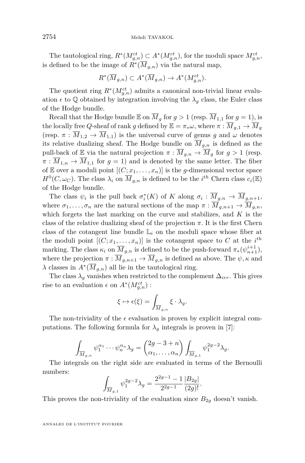The tautological ring,  $R^*(M_{g,n}^{ct}) \subset A^*(M_{g,n}^{ct})$ , for the moduli space  $M_{g,n}^{ct}$ , is defined to be the image of  $R^*(\overline{M}_{g,n})$  via the natural map,

$$
R^*(\overline{M}_{g,n}) \subset A^*(\overline{M}_{g,n}) \to A^*(M_{g,n}^{ct}).
$$

The quotient ring  $R^*(M_{g,n}^{ct})$  admits a canonical non-trivial linear evaluation  $\epsilon$  to  $\mathbb Q$  obtained by integration involving the  $\lambda_g$  class, the Euler class of the Hodge bundle.

Recall that the Hodge bundle  $\mathbb E$  on  $\overline M_g$  for  $g > 1$  (resp.  $\overline M_{1,1}$  for  $g = 1$ ), is the locally free *Q*-sheaf of rank *g* defined by  $\mathbb{E} = \pi_* \omega$ , where  $\pi : \overline{M}_{g,1} \to \overline{M}_g$ (resp.  $\pi : \overline{M}_{1,2} \to \overline{M}_{1,1}$ ) is the universal curve of genus *g* and  $\omega$  denotes its relative dualizing sheaf. The Hodge bundle on  $\overline{M}_{q,n}$  is defined as the pull-back of E via the natural projection  $\pi : \overline{M}_{g,n} \to \overline{M}_g$  for  $g > 1$  (resp.  $\pi : \overline{M}_{1,n} \to \overline{M}_{1,1}$  for  $g = 1$ ) and is denoted by the same letter. The fiber of E over a moduli point  $[(C; x_1, \ldots, x_n)]$  is the *g*-dimensional vector space  $H^0(C, \omega_C)$ . The class  $\lambda_i$  on  $\overline{M}_{g,n}$  is defined to be the *i*<sup>th</sup> Chern class  $c_i(\mathbb{E})$ of the Hodge bundle.

The class  $\psi_i$  is the pull back  $\sigma_i^*(K)$  of *K* along  $\sigma_i : \overline{M}_{g,n} \to \overline{M}_{g,n+1}$ , where  $\sigma_1, \ldots, \sigma_n$  are the natural sections of the map  $\pi : \overline{M}_{q,n+1} \to \overline{M}_{q,n}$ , which forgets the last marking on the curve and stabilizes, and *K* is the class of the relative dualizing sheaf of the projection  $\pi$ . It is the first Chern class of the cotangent line bundle  $L_i$  on the moduli space whose fiber at the moduli point  $[(C; x_1, \ldots, x_n)]$  is the cotangent space to C at the *i*<sup>th</sup> marking. The class  $\kappa_i$  on  $\overline{M}_{g,n}$  is defined to be the push-forward  $\pi_*(\psi_{n+1}^{i+1}),$ where the projection  $\pi : \overline{M}_{q,n+1} \to \overline{M}_{q,n}$  is defined as above. The  $\psi, \kappa$  and  $\lambda$  classes in  $A^*(\overline{M}_{g,n})$  all lie in the tautological ring.

The class  $\lambda_q$  vanishes when restricted to the complement  $\Delta_{irr}$ . This gives rise to an evaluation  $\epsilon$  on  $A^*(M_{g,n}^{ct})$ :

$$
\xi \mapsto \epsilon(\xi) = \int_{\overline{M}_{g,n}} \xi \cdot \lambda_g.
$$

The non-triviality of the  $\epsilon$  evaluation is proven by explicit integral computations. The following formula for  $\lambda_g$  integrals is proven in [\[7\]](#page-28-0):

$$
\int_{\overline{M}_{g,n}} \psi_1^{\alpha_1} \cdots \psi_n^{\alpha_n} \lambda_g = \begin{pmatrix} 2g-3+n \\ \alpha_1, \dots, \alpha_n \end{pmatrix} \int_{\overline{M}_{g,1}} \psi_1^{2g-2} \lambda_g.
$$

The integrals on the right side are evaluated in terms of the Bernoulli numbers:

$$
\int_{\overline{M}_{g,1}} \psi_1^{2g-2} \lambda_g = \frac{2^{2g-1} - 1}{2^{2g-1}} \frac{|B_{2g}|}{(2g)!}.
$$

This proves the non-triviality of the evaluation since  $B_{2g}$  doesn't vanish.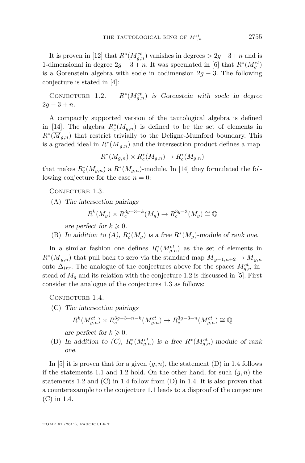<span id="page-5-0"></span>It is proven in [\[12\]](#page-29-0) that  $R^*(M_{g,n}^{ct})$  vanishes in degrees  $> 2g-3+n$  and is 1-dimensional in degree  $2g - 3 + n$ . It was speculated in [\[6\]](#page-28-0) that  $R^*(M_g^{ct})$ is a Gorenstein algebra with socle in codimension  $2g - 3$ . The following conjecture is stated in [\[4\]](#page-28-0):

CONJECTURE 1.2. —  $R^*(M_{g,n}^{ct})$  is Gorenstein with socle in degree  $2q - 3 + n$ .

A compactly supported version of the tautological algebra is defined in [\[14\]](#page-29-0). The algebra  $R_c^*(M_{g,n})$  is defined to be the set of elements in  $R^*(\overline{M}_{g,n})$  that restrict trivially to the Deligne-Mumford boundary. This is a graded ideal in  $R^*(\overline{M}_{g,n})$  and the intersection product defines a map

$$
R^*(M_{g,n}) \times R_c^*(M_{g,n}) \to R_c^*(M_{g,n})
$$

that makes  $R_c^*(M_{g,n})$  a  $R^*(M_{g,n})$ -module. In [\[14\]](#page-29-0) they formulated the following conjecture for the case  $n = 0$ :

CONJECTURE 1.3.

(A) The intersection pairings

$$
R^k(M_g) \times R_c^{3g-3-k}(M_g) \to R_c^{3g-3}(M_g) \cong \mathbb{Q}
$$

are perfect for  $k \geqslant 0$ .

(B) In addition to  $(A)$ ,  $R_c^*(M_g)$  is a free  $R^*(M_g)$ -module of rank one.

In a similar fashion one defines  $R_c^*(M_{g,n}^{ct})$  as the set of elements in  $R^*(\overline{M}_{g,n})$  that pull back to zero via the standard map  $\overline{M}_{g-1,n+2} \to \overline{M}_{g,n}$ onto  $\Delta_{irr}$ . The analogue of the conjectures above for the spaces  $M_{g,n}^{ct}$  instead of  $M_q$  and its relation with the conjecture 1.2 is discussed in [\[5\]](#page-28-0). First consider the analogue of the conjectures 1.3 as follows:

CONJECTURE 1.4.

(C) The intersection pairings

$$
R^k(M_{g,n}^{ct})\times R^{3g-3+n-k}_c(M_{g,n}^{ct})\to R^{3g-3+n}_c(M_{g,n}^{ct})\cong \mathbb{Q}
$$

are perfect for  $k \geqslant 0$ .

(D) In addition to  $(C)$ ,  $R_c^*(M_{g,n}^{ct})$  is a free  $R^*(M_{g,n}^{ct})$ -module of rank one.

In [\[5\]](#page-28-0) it is proven that for a given  $(g, n)$ , the statement  $(D)$  in 1.4 follows if the statements [1.1](#page-3-0) and 1.2 hold. On the other hand, for such  $(q, n)$  the statements 1.2 and  $(C)$  in 1.4 follow from  $(D)$  in 1.4. It is also proven that a counterexample to the conjecture [1.1](#page-3-0) leads to a disproof of the conjecture (C) in 1.4.

TOME 61 (2011), FASCICULE 7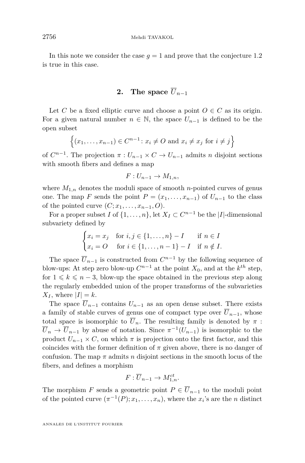In this note we consider the case  $g = 1$  and prove that the conjecture [1.2](#page-5-0) is true in this case.

### **2.** The space  $\overline{U}_{n-1}$

Let *C* be a fixed elliptic curve and choose a point  $O \in C$  as its origin. For a given natural number  $n \in \mathbb{N}$ , the space  $U_{n-1}$  is defined to be the open subset

$$
\{(x_1,\ldots,x_{n-1})\in C^{n-1}\colon x_i\neq O \text{ and } x_i\neq x_j \text{ for } i\neq j\}
$$

of  $C^{n-1}$ . The projection  $\pi: U_{n-1} \times C \to U_{n-1}$  admits *n* disjoint sections with smooth fibers and defines a map

$$
F: U_{n-1} \to M_{1,n},
$$

where  $M_{1,n}$  denotes the moduli space of smooth *n*-pointed curves of genus one. The map *F* sends the point  $P = (x_1, \ldots, x_{n-1})$  of  $U_{n-1}$  to the class of the pointed curve  $(C; x_1, \ldots, x_{n-1}, O)$ .

For a proper subset *I* of  $\{1, \ldots, n\}$ , let  $X_I \subset C^{n-1}$  be the |*I*|-dimensional subvariety defined by

$$
\begin{cases} x_i = x_j & \text{for } i, j \in \{1, \dots, n\} - I & \text{if } n \in I \\ x_i = O & \text{for } i \in \{1, \dots, n - 1\} - I & \text{if } n \notin I. \end{cases}
$$

The space  $\overline{U}_{n-1}$  is constructed from  $C^{n-1}$  by the following sequence of blow-ups: At step zero blow-up  $C^{n-1}$  at the point  $X_0$ , and at the  $k^{th}$  step, for  $1 \leq k \leq n-3$ , blow-up the space obtained in the previous step along the regularly embedded union of the proper transforms of the subvarieties  $X_I$ , where  $|I| = k$ .

The space  $\overline{U}_{n-1}$  contains  $U_{n-1}$  as an open dense subset. There exists a family of stable curves of genus one of compact type over  $\overline{U}_{n-1}$ , whose total space is isomorphic to  $\overline{U}_n$ . The resulting family is denoted by  $\pi$ :  $\overline{U}_n \to \overline{U}_{n-1}$  by abuse of notation. Since  $\pi^{-1}(U_{n-1})$  is isomorphic to the product  $U_{n-1} \times C$ , on which  $\pi$  is projection onto the first factor, and this coincides with the former definition of  $\pi$  given above, there is no danger of confusion. The map  $\pi$  admits  $n$  disjoint sections in the smooth locus of the fibers, and defines a morphism

$$
F:\overline{U}_{n-1}\to M_{1,n}^{ct}.
$$

The morphism *F* sends a geometric point  $P \in \overline{U}_{n-1}$  to the moduli point of the pointed curve  $(\pi^{-1}(P); x_1, \ldots, x_n)$ , where the *x<sub>i</sub>*'s are the *n* distinct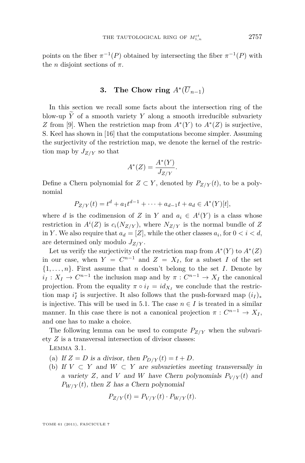points on the fiber  $\pi^{-1}(P)$  obtained by intersecting the fiber  $\pi^{-1}(P)$  with the *n* disjoint sections of  $\pi$ .

## **3.** The Chow ring  $A^*(\overline{U}_{n-1})$

In this section we recall some facts about the intersection ring of the blow-up  $\widetilde{Y}$  of a smooth variety  $Y$  along a smooth irreducible subvariety *Z* from [\[9\]](#page-28-0). When the restriction map from  $A^*(Y)$  to  $A^*(Z)$  is surjective, S. Keel has shown in [\[16\]](#page-29-0) that the computations become simpler. Assuming the surjectivity of the restriction map, we denote the kernel of the restriction map by  $J_{Z/Y}$  so that

$$
A^*(Z) = \frac{A^*(Y)}{J_{Z/Y}}.
$$

Define a Chern polynomial for  $Z \subset Y$ , denoted by  $P_{Z/Y}(t)$ , to be a polynomial

$$
P_{Z/Y}(t) = t^d + a_1 t^{d-1} + \dots + a_{d-1} t + a_d \in A^*(Y)[t],
$$

where *d* is the codimension of *Z* in *Y* and  $a_i \in A^i(Y)$  is a class whose restriction in  $A^{i}(Z)$  is  $c_{i}(N_{Z/Y})$ , where  $N_{Z/Y}$  is the normal bundle of Z in *Y*. We also require that  $a_d = [Z]$ , while the other classes  $a_i$ , for  $0 < i < d$ , are determined only modulo *JZ/Y* .

Let us verify the surjectivity of the restriction map from  $A^*(Y)$  to  $A^*(Z)$ in our case, when  $Y = C^{n-1}$  and  $Z = X_I$ , for a subset *I* of the set  $\{1, \ldots, n\}$ . First assume that *n* doesn't belong to the set *I*. Denote by  $i_I: X_I \to C^{n-1}$  the inclusion map and by  $\pi: C^{n-1} \to X_I$  the canonical projection. From the equality  $\pi \circ i_I = id_{X_I}$  we conclude that the restriction map  $i_I^*$  is surjective. It also follows that the push-forward map  $(i_I)_*$ is injective. This will be used in [5.1.](#page-13-0) The case  $n \in I$  is treated in a similar manner. In this case there is not a canonical projection  $\pi: C^{n-1} \to X_I$ , and one has to make a choice.

The following lemma can be used to compute  $P_{Z/Y}$  when the subvariety *Z* is a transversal intersection of divisor classes:

Lemma 3.1.

- (a) If  $Z = D$  is a divisor, then  $P_{D/Y}(t) = t + D$ .
- (b) If  $V \subset Y$  and  $W \subset Y$  are subvarieties meeting transversally in a variety *Z*, and *V* and *W* have Chern polynomials  $P_{V/Y}(t)$  and  $P_{W/Y}(t)$ , then *Z* has a Chern polynomial

$$
P_{Z/Y}(t) = P_{V/Y}(t) \cdot P_{W/Y}(t).
$$

TOME 61 (2011), FASCICULE 7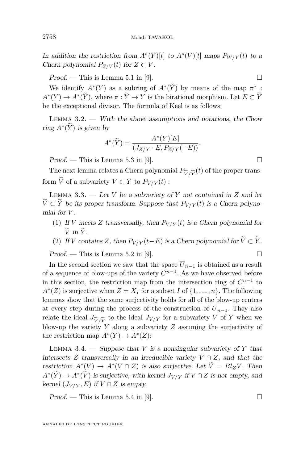<span id="page-8-0"></span>In addition the restriction from  $A^*(Y)[t]$  to  $A^*(V)[t]$  maps  $P_{W/Y}(t)$  to a *Chern polynomial*  $P_{Z/V}(t)$  for  $Z \subset V$ .

 $Proof.$  — This is Lemma 5.1 in [\[9\]](#page-28-0).

We identify  $A^*(Y)$  as a subring of  $A^*(Y)$  by means of the map  $\pi^*$ :  $A^*(Y) \to A^*(\overline{Y})$ , where  $\pi : \overline{Y} \to Y$  is the birational morphism. Let  $E \subset \overline{Y}$ be the exceptional divisor. The formula of Keel is as follows:

LEMMA  $3.2.$  — With the above assumptions and notations, the Chow ring  $A^*(Y)$  is given by

$$
A^*(\widetilde{Y}) = \frac{A^*(Y)[E]}{(J_{Z/Y} \cdot E, P_{Z/Y}(-E))}.
$$

 $Proof.$  — This is Lemma 5.3 in [\[9\]](#page-28-0).

The next lemma relates a Chern polynomial  $P_{\widetilde{V}/\widetilde{Y}}(t)$  of the proper trans-<br> $\widetilde{V}$  of a subvariaty  $V \subset V$  to  $P$  (*t*). form  $\widetilde{V}$  of a subvariety  $V \subset Y$  to  $P_{V/Y}(t)$ :

LEMMA 3.3.  $-$  Let *V* be a subvariety of *Y* not contained in *Z* and let  $\widetilde{V}\subset \widetilde{Y}$  be its proper transform. Suppose that  $P_{V/Y}(t)$  is a Chern polynomial for *V* .

- (1) If *V* meets *Z* transversally, then  $P_{V/Y}(t)$  is a Chern polynomial for  $\widetilde{V}$  in  $\widetilde{Y}$ .
- (2) If *V* contains *Z*, then  $P_{V/Y}(t-E)$  is a Chern polynomial for  $\widetilde{V} \subset \widetilde{Y}$ .

 $Proof.$  — This is Lemma 5.2 in [\[9\]](#page-28-0).

In the second section we saw that the space  $\overline{U}_{n-1}$  is obtained as a result of a sequence of blow-ups of the variety  $C^{n-1}$ . As we have observed before in this section, the restriction map from the intersection ring of  $C^{n-1}$  to  $A^*(Z)$  is surjective when  $Z = X_I$  for a subset *I* of  $\{1, \ldots, n\}$ . The following lemmas show that the same surjectivity holds for all of the blow-up centers at every step during the process of the construction of  $U_{n-1}$ . They also relate the ideal  $J_{\widetilde{V}/\widetilde{Y}}$  to the ideal  $J_{V/Y}$  for a subvariety *V* of *Y* when we blow-up the variety *Y* along a subvariety *Z* assuming the surjectivity of  $\frac{1}{2}$ the restriction map  $A^*(Y) \to A^*(Z)$ :

LEMMA 3.4.  $-$  Suppose that *V* is a nonsingular subvariety of *Y* that intersects *Z* transversally in an irreducible variety  $V \cap Z$ , and that the restriction  $A^*(V) \to A^*(V \cap Z)$  is also surjective. Let  $\tilde{V} = Bl_ZV$ . Then  $A^*(\widetilde{Y}) \to A^*(\widetilde{V})$  is surjective, with kernel  $J_{V/Y}$  if  $V \cap Z$  is not empty, and kernel  $(J_{V/Y}, E)$  if  $V \cap Z$  is empty.

 $Proof.$  — This is Lemma 5.4 in [\[9\]](#page-28-0).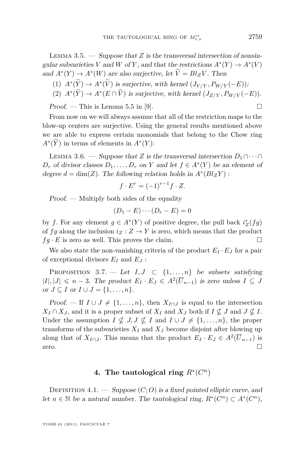<span id="page-9-0"></span>LEMMA  $3.5.$  — Suppose that *Z* is the transversal intersection of nonsingular subvarieties *V* and *W* of *Y*, and that the restrictions  $A^*(Y) \to A^*(V)$ and  $A^*(Y) \to A^*(W)$  are also surjective, let  $V = Bl_Z V$ . Then

- (1)  $A^*(Y) \to A^*(V)$  is surjective, with kernel  $(J_{V/Y}, P_{W/Y}(-E));$
- (2)  $A^*(\tilde{Y}) \to A^*(E \cap V)$  is surjective, with kernel  $(J_{Z/Y}, P_{W/Y}(-E)).$

 $Proof.$  — This is Lemma 5.5 in [\[9\]](#page-28-0).

From now on we will always assume that all of the restriction maps to the blow-up centers are surjective. Using the general results mentioned above we are able to express certain monomials that belong to the Chow ring  $A^*(\overline{Y})$  in terms of elements in  $A^*(Y)$ :

LEMMA 3.6. — Suppose that *Z* is the transversal intersection  $D_1 \cap \cdots \cap$  $D_r$  of divisor classes  $D_1, \ldots, D_r$  on *Y* and let  $f \in A^*(Y)$  be an element of degree  $d = \dim(Z)$ . The following relation holds in  $A^*(Bl_ZY)$ :

$$
f \cdot E^r = (-1)^{r-1} f \cdot Z.
$$

Proof. — Multiply both sides of the equality

$$
(D_1 - E) \cdots (D_r - E) = 0
$$

by *f*. For any element  $g \in A^*(Y)$  of positive degree, the pull back  $i_Z^*(fg)$ of *fg* along the inclusion  $i_Z : Z \to Y$  is zero, which means that the product  $fg \cdot E$  is zero as well. This proves the claim.

We also state the non-vanishing criteria of the product  $E_I \cdot E_J$  for a pair of exceptional divisors  $E_I$  and  $E_J$ :

PROPOSITION 3.7. — Let  $I, J \subset \{1, ..., n\}$  be subsets satisfying  $|I|, |J|$  ≤ *n* − 3. The product  $E_I \cdot E_J \in A^2(\overline{U}_{n-1})$  is zero unless  $I \subseteq J$ or  $J \subseteq I$  or  $I \cup J = \{1, \ldots, n\}.$ 

Proof. — If  $I \cup J \neq \{1, \ldots, n\}$ , then  $X_{I \cap J}$  is equal to the intersection  $X_I \cap X_J$ , and it is a proper subset of  $X_I$  and  $X_J$  both if  $I \nsubseteq J$  and  $J \nsubseteq I$ . Under the assumption  $I \nsubseteq J, J \nsubseteq I$  and  $I \cup J \neq \{1, ..., n\}$ , the proper transforms of the subvarieties  $X_I$  and  $X_J$  become disjoint after blowing up along that of  $X_{I \cap J}$ . This means that the product  $E_I \cdot E_J \in A^2(\overline{U}_{n-1})$  is zero.  $\Box$ 

#### **4.** The tautological ring  $R^*(C^n)$

DEFINITION 4.1. — Suppose  $(C; O)$  is a fixed pointed elliptic curve, and let *n* ∈ *N* be a natural number. The tautological ring,  $R^*(C^n)$  ⊂  $A^*(C^n)$ ,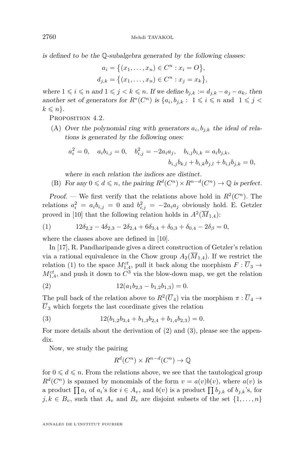<span id="page-10-0"></span>is defined to be the Q-subalgebra generated by the following classes:

$$
a_i = \{(x_1, \dots, x_n) \in C^n : x_i = O\},\,
$$
  

$$
d_{j,k} = \{(x_1, \dots, x_n) \in C^n : x_j = x_k\},\,
$$

where  $1 \leq i \leq n$  and  $1 \leq j \leq k \leq n$ . If we define  $b_{j,k} := d_{j,k} - a_j - a_k$ , then another set of generators for  $R^*(C^n)$  is  $\{a_i, b_{j,k}: 1 \leq i \leq n \text{ and } 1 \leq j \leq n\}$  $k \leqslant n$ .

PROPOSITION 4.2.

(A) Over the polynomial ring with generators  $a_i, b_{j,k}$  the ideal of relations is generated by the following ones:

$$
a_i^2 = 0
$$
,  $a_i b_{i,j} = 0$ ,  $b_{i,j}^2 = -2a_i a_j$ ,  $b_{i,j} b_{i,k} = a_i b_{j,k}$ ,  
 $b_{i,j} b_{k,l} + b_{i,k} b_{j,l} + b_{i,l} b_{j,k} = 0$ ,

where in each relation the indices are distinct.

(B) For any  $0 \leq d \leq n$ , the pairing  $R^d(C^n) \times R^{n-d}(C^n) \to \mathbb{Q}$  is perfect.

*Proof.* — We first verify that the relations above hold in  $R^2(\mathbb{C}^n)$ . The relations  $a_i^2 = a_i b_{i,j} = 0$  and  $b_{i,j}^2 = -2a_i a_j$  obviously hold. E. Getzler proved in [\[10\]](#page-29-0) that the following relation holds in  $A^2(\overline{M}_{1,4})$ :

(1) 
$$
12\delta_{2,2} - 4\delta_{2,3} - 2\delta_{2,4} + 6\delta_{3,4} + \delta_{0,3} + \delta_{0,4} - 2\delta_{\beta} = 0,
$$

where the classes above are defined in [\[10\]](#page-29-0).

In [\[17\]](#page-29-0), R. Pandharipande gives a direct construction of Getzler's relation via a rational equivalence in the Chow group  $A_2(\overline{M}_{1,4})$ . If we restrict the relation (1) to the space  $M^{ct}_{1,4}$ , pull it back along the morphism  $F: \overline{U}_3 \to$  $M_{1,4}^{ct}$ , and push it down to  $C^3$  via the blow-down map, we get the relation

(2) 
$$
12(a_1b_{2,3} - b_{1,2}b_{1,3}) = 0.
$$

The pull back of the relation above to  $R^2(\overline{U}_4)$  via the morphism  $\pi : \overline{U}_4 \to$  $\overline{U}_3$  which forgets the last coordinate gives the relation

(3) 
$$
12(b_{1,2}b_{3,4} + b_{1,3}b_{2,4} + b_{1,4}b_{2,3}) = 0.
$$

For more details about the derivation of (2) and (3), please see the appendix.

Now, we study the pairing

$$
R^d(C^n) \times R^{n-d}(C^n) \to \mathbb{Q}
$$

for  $0 \leq d \leq n$ . From the relations above, we see that the tautological group  $R^d(C^n)$  is spanned by monomials of the form  $v = a(v)b(v)$ , where  $a(v)$  is a product  $\prod a_i$  of  $a_i$ 's for  $i \in A_v$ , and  $b(v)$  is a product  $\prod b_{j,k}$  of  $b_{j,k}$ 's, for  $j, k \in B_v$ , such that  $A_v$  and  $B_v$  are disjoint subsets of the set  $\{1, \ldots, n\}$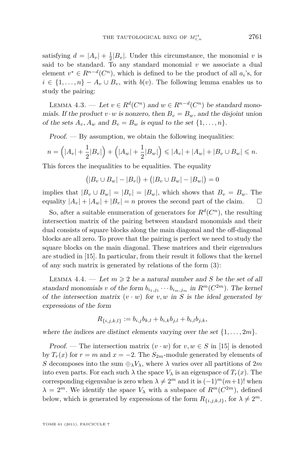satisfying  $d = |A_v| + \frac{1}{2}|B_v|$ . Under this circumstance, the monomial *v* is said to be standard. To any standard monomial *v* we associate a dual element  $v^* \in R^{n-d}(C^n)$ , which is defined to be the product of all  $a_i$ 's, for  $i \in \{1, \ldots, n\} - A_v \cup B_v$ , with *b*(*v*). The following lemma enables us to study the pairing:

LEMMA 4.3. — Let  $v \in R^d(C^n)$  and  $w \in R^{n-d}(C^n)$  be standard monomials. If the product  $v \cdot w$  is nonzero, then  $B_v = B_w$ , and the disjoint union of the sets  $A_v$ ,  $A_w$  and  $B_v = B_w$  is equal to the set  $\{1, \ldots, n\}$ .

 $Proof.$  — By assumption, we obtain the following inequalities:

$$
n = (|A_v| + \frac{1}{2}|B_v|) + (|A_w| + \frac{1}{2}|B_w|) \leq |A_v| + |A_w| + |B_v \cup B_w| \leq n.
$$

This forces the inequalities to be equalities. The equality

$$
(|B_v \cup B_w| - |B_v|) + (|B_v \cup B_w| - |B_w|) = 0
$$

implies that  $|B_v \cup B_w| = |B_v| = |B_w|$ , which shows that  $B_v = B_w$ . The equality  $|A_v| + |A_w| + |B_v| = n$  proves the second part of the claim.  $\square$ 

So, after a suitable enumeration of generators for  $R^d(C^n)$ , the resulting intersection matrix of the pairing between standard monomials and their dual consists of square blocks along the main diagonal and the off-diagonal blocks are all zero. To prove that the pairing is perfect we need to study the square blocks on the main diagonal. These matrices and their eigenvalues are studied in [\[15\]](#page-29-0). In particular, from their result it follows that the kernel of any such matrix is generated by relations of the form [\(3\)](#page-10-0):

LEMMA 4.4. — Let  $m \geq 2$  be a natural number and *S* be the set of all standard monomials *v* of the form  $b_{i_1,j_1}\cdots b_{i_m,j_m}$  in  $R^m(C^{2m})$ . The kernel of the intersection matrix  $(v \cdot w)$  for  $v, w$  in *S* is the ideal generated by expressions of the form

$$
R_{\{i,j,k,l\}} := b_{i,j}b_{k,l} + b_{i,k}b_{j,l} + b_{i,l}b_{j,k},
$$

where the indices are distinct elements varying over the set  $\{1, \ldots, 2m\}$ .

Proof. — The intersection matrix  $(v \cdot w)$  for  $v, w \in S$  in [\[15\]](#page-29-0) is denoted by  $T_r(x)$  for  $r = m$  and  $x = -2$ . The  $S_{2m}$ -module generated by elements of *S* decomposes into the sum  $\bigoplus_{\lambda} V_{\lambda}$ , where  $\lambda$  varies over all partitions of 2*m* into even parts. For each such  $\lambda$  the space  $V_{\lambda}$  is an eigenspace of  $T_r(x)$ . The corresponding eigenvalue is zero when  $\lambda \neq 2^m$  and it is  $(-1)^m(m+1)!$  when  $\lambda = 2^m$ . We identify the space  $V_\lambda$  with a subspace of  $R^m(C^{2m})$ , defined below, which is generated by expressions of the form  $R_{\{i,j,k,l\}}$ , for  $\lambda \neq 2^m$ .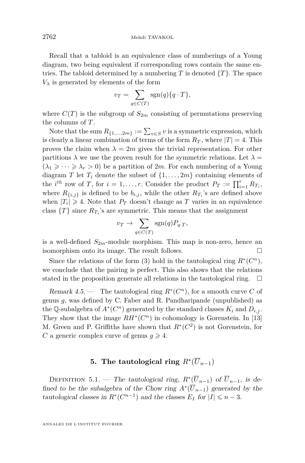Recall that a tabloid is an equivalence class of numberings of a Young diagram, two being equivalent if corresponding rows contain the same entries. The tabloid determined by a numbering  $T$  is denoted  $\{T\}$ . The space  $V_{\lambda}$  is generated by elements of the form

$$
v_T = \sum_{q \in C(T)} \text{sgn}(q) \{q \cdot T\},\
$$

where  $C(T)$  is the subgroup of  $S_{2m}$  consisting of permutations preserving the columns of *T*.

Note that the sum  $R_{\{1,\ldots,2m\}} := \sum_{v \in S} v$  is a symmetric expression, which is clearly a linear combination of terms of the form  $R_T$ , where  $|T| = 4$ . This proves the claim when  $\lambda = 2m$  gives the trivial representation. For other partitions  $\lambda$  we use the proven result for the symmetric relations. Let  $\lambda =$  $(\lambda_1 \geqslant \cdots \geqslant \lambda_r > 0)$  be a partition of 2*m*. For each numbering of a Young diagram *T* let  $T_i$  denote the subset of  $\{1, \ldots, 2m\}$  containing elements of the *i*<sup>th</sup> row of *T*, for  $i = 1, ..., r$ . Consider the product  $P_T := \prod_{i=1}^r R_{T_i}$ , where  $R_{\{i,j\}}$  is defined to be  $b_{i,j}$ , while the other  $R_{T_i}$ 's are defined above when  $|T_i| \geq 4$ . Note that  $P_T$  doesn't change as T varies in an equivalence class  $\{T\}$  since  $R_{T_i}$ 's are symmetric. This means that the assignment

$$
v_T \to \sum_{q \in C(T)} \text{sgn}(q) P_{q \cdot T},
$$

is a well-defined  $S_{2m}$ -module morphism. This map is non-zero, hence an isomorphism onto its image. The result follows.

Since the relations of the form [\(3\)](#page-10-0) hold in the tautological ring  $R^*(C^n)$ , we conclude that the pairing is perfect. This also shows that the relations stated in the proposition generate all relations in the tautological ring.  $\Box$ 

Remark 4.5. — The tautological ring  $R^*(C^n)$ , for a smooth curve C of genus *g*, was defined by C. Faber and R. Pandharipande (unpublished) as the Q-subalgebra of  $A^*(C^n)$  generated by the standard classes  $K_i$  and  $D_{i,j}$ . They show that the image  $RH^*(C^n)$  in cohomology is Gorenstein. In [\[13\]](#page-29-0) M. Green and P. Griffiths have shown that  $R^*(C^2)$  is not Gorenstein, for *C* a generic complex curve of genus  $g \ge 4$ .

## **5.** The tautological ring  $R^*(\overline{U}_{n-1})$

DEFINITION 5.1. — The tautological ring,  $R^*(\overline{U}_{n-1})$  of  $\overline{U}_{n-1}$ , is defined to be the subalgebra of the Chow ring  $A^*(\overline{U}_{n-1})$  generated by the tautological classes in  $R^*(C^{n-1})$  and the classes  $E_I$  for  $|I| \leq n-3$ .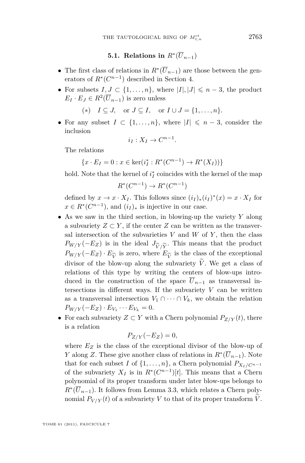#### ${\bf 5.1.}$  Relations in  $R^*(\overline{U}_{n-1})$

- <span id="page-13-0"></span>• The first class of relations in  $R^*(\overline{U}_{n-1})$  are those between the generators of  $R^*(C^{n-1})$  described in Section 4.
- For subsets  $I, J \subset \{1, \ldots, n\}$ , where  $|I|, |J| \leq n-3$ , the product  $E_I \cdot E_J \in R^2(\overline{U}_{n-1})$  is zero unless

(\*)  $I \subseteq J$ , or  $J \subseteq I$ , or  $I \cup J = \{1, ..., n\}$ .

• For any subset  $I \subset \{1, \ldots, n\}$ , where  $|I| \leq n-3$ , consider the inclusion

$$
i_I: X_I \to C^{n-1}.
$$

The relations

$$
\{x \cdot E_I = 0 : x \in \ker(i_I^* : R^*(C^{n-1}) \to R^*(X_I))\}
$$

hold. Note that the kernel of  $i_I^*$  coincides with the kernel of the map

$$
R^*(C^{n-1}) \to R^*(C^{n-1})
$$

defined by  $x \to x \cdot X_I$ . This follows since  $(i_I)_*(i_I)^*(x) = x \cdot X_I$  for  $x \in R^*(C^{n-1})$ , and  $(i_I)_*$  is injective in our case.

- As we saw in the third section, in blowing-up the variety *Y* along a subvariety  $Z \subset Y$ , if the center  $Z$  can be written as the transversal intersection of the subvarieties  $V$  and  $W$  of  $Y$ , then the class  $P_{W/Y}(-E_Z)$  is in the ideal  $J_{\widetilde{V}/\widetilde{Y}}$ . This means that the product  $P_{W/Y}(-E_Z) \cdot E_{\widetilde{V}}$  is zero, where  $E_{\widetilde{V}}$  is the class of the exceptional<br>divisor of the blow-up along the subvariety  $\widetilde{V}$ . We get a class of divisor of the blow-up along the subvariety  $\tilde{V}$ . We get a class of relations of this type by writing the centers of blow-ups introduced in the construction of the space  $\overline{U}_{n-1}$  as transversal intersections in different ways. If the subvariety  $V$  can be written as a transversal intersection  $V_1 \cap \cdots \cap V_k$ , we obtain the relation  $P_{W/Y}(-E_Z) \cdot E_{V_1} \cdots E_{V_k} = 0.$
- For each subvariety  $Z \subset Y$  with a Chern polynomial  $P_{Z/Y}(t)$ , there is a relation

$$
P_{Z/Y}(-E_Z)=0,
$$

where  $E_Z$  is the class of the exceptional divisor of the blow-up of *Y* along *Z*. These give another class of relations in  $R^*(\overline{U}_{n-1})$ . Note that for each subset *I* of  $\{1, \ldots, n\}$ , a Chern polynomial  $P_{X_I/C^{n-1}}$ of the subvariety  $X_I$  is in  $R^*(C^{n-1})[t]$ . This means that a Chern polynomial of its proper transform under later blow-ups belongs to  $R^*(\overline{U}_{n-1})$ . It follows from Lemma [3.3,](#page-8-0) which relates a Chern polynomial  $P_{V/Y}(t)$  of a subvariety V to that of its proper transform V.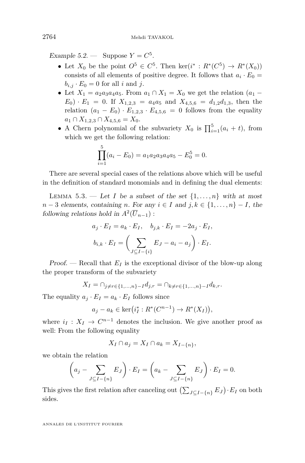<span id="page-14-0"></span>Example 5.2. — Suppose  $Y = C^5$ .

- Let  $X_0$  be the point  $O^5 \in C^5$ . Then ker( $i^* : R^*(C^5) \to R^*(X_0)$ ) consists of all elements of positive degree. It follows that  $a_i \cdot E_0 =$  $b_{i,j} \cdot E_0 = 0$  for all *i* and *j*.
- Let  $X_1 = a_2 a_3 a_4 a_5$ . From  $a_1 \cap X_1 = X_0$  we get the relation  $(a_1 E_0$   $\cdot$  *E*<sub>1</sub> = 0. If  $X_{1,2,3} = a_4 a_5$  and  $X_{4,5,6} = d_{1,2} d_{1,3}$ , then the relation  $(a_1 - E_0) \cdot E_{1,2,3} \cdot E_{4,5,6} = 0$  follows from the equality  $a_1 ∩ X_{1,2,3} ∩ X_{4,5,6} = X_0.$
- A Chern polynomial of the subvariety  $X_0$  is  $\prod_{i=1}^5 (a_i + t)$ , from which we get the following relation:

$$
\prod_{i=1}^{5} (a_i - E_0) = a_1 a_2 a_3 a_4 a_5 - E_0^5 = 0.
$$

There are several special cases of the relations above which will be useful in the definition of standard monomials and in defining the dual elements:

LEMMA 5.3. — Let *I* be a subset of the set  $\{1, \ldots, n\}$  with at most  $n-3$  elements, containing *n*. For any  $i \in I$  and  $j, k \in \{1, \ldots, n\} - I$ , the following relations hold in  $A^2(\overline{U}_{n-1})$ :

$$
a_j \cdot E_I = a_k \cdot E_I, \quad b_{j,k} \cdot E_I = -2a_j \cdot E_I,
$$
  

$$
b_{i,k} \cdot E_I = \left(\sum_{J \subseteq I - \{i\}} E_J - a_i - a_j\right) \cdot E_I.
$$

Proof. — Recall that  $E_I$  is the exceptional divisor of the blow-up along the proper transform of the subvariety

$$
X_I = \cap_{j \neq r \in \{1, ..., n\} - I} d_{j,r} = \cap_{k \neq r \in \{1, ..., n\} - I} d_{k,r}.
$$

The equality  $a_j \cdot E_I = a_k \cdot E_I$  follows since

$$
a_j - a_k \in \ker(i_I^* : R^*(C^{n-1}) \to R^*(X_I)),
$$

where  $i_I: X_I \to C^{n-1}$  denotes the inclusion. We give another proof as well: From the following equality

$$
X_I \cap a_j = X_I \cap a_k = X_{I-\{n\}},
$$

we obtain the relation

$$
\left(a_j - \sum_{J \subseteq I - \{n\}} E_J\right) \cdot E_I = \left(a_k - \sum_{J \subseteq I - \{n\}} E_J\right) \cdot E_I = 0.
$$

This gives the first relation after canceling out  $(\sum_{J \subseteq I - \{n\}} E_J) \cdot E_I$  on both sides.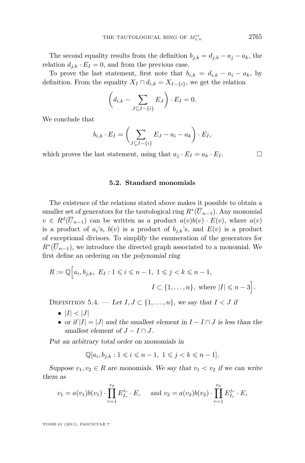<span id="page-15-0"></span>The second equality results from the definition  $b_{j,k} = d_{j,k} - a_j - a_k$ , the relation  $d_{j,k} \cdot E_I = 0$ , and from the previous case.

To prove the last statement, first note that  $b_{i,k} = d_{i,k} - a_i - a_k$ , by definition. From the equality  $X_I \cap d_{i,k} = X_{I-\{i\}}$ , we get the relation

$$
\left(d_{i,k} - \sum_{J \subseteq I - \{i\}} E_J\right) \cdot E_I = 0.
$$

We conclude that

$$
b_{i,k} \cdot E_I = \left(\sum_{J \subseteq I - \{i\}} E_J - a_i - a_k\right) \cdot E_I,
$$

which proves the last statement, using that  $a_j \cdot E_I = a_k \cdot E_I$ .

#### **5.2. Standard monomials**

The existence of the relations stated above makes it possible to obtain a smaller set of generators for the tautological ring  $R^*(\overline{U}_{n-1})$ . Any monomial  $v \in R^d(\overline{U}_{n-1})$  can be written as a product  $a(v)b(v) \cdot E(v)$ , where  $a(v)$ is a product of  $a_i$ 's,  $b(v)$  is a product of  $b_{j,k}$ 's, and  $E(v)$  is a product of exceptional divisors. To simplify the enumeration of the generators for  $R^*(\overline{U}_{n-1})$ , we introduce the directed graph associated to a monomial. We first define an ordering on the polynomial ring

$$
R := \mathbb{Q}\Big[a_i, b_{j,k}, E_I : 1 \leqslant i \leqslant n-1, 1 \leqslant j < k \leqslant n-1,
$$
  

$$
I \subset \{1, \ldots, n\}, \text{ where } |I| \leqslant n-3\Big].
$$

DEFINITION 5.4. — Let  $I, J \subset \{1, \ldots, n\}$ , we say that  $I < J$  if

- $\bullet$   $|I| < |J|$
- or if  $|I| = |J|$  and the smallest element in  $I I \cap J$  is less than the smallest element of  $J - I \cap J$ .

Put an arbitrary total order on monomials in

$$
\mathbb{Q}[a_i, b_{j,k} : 1 \leqslant i \leqslant n-1, 1 \leqslant j < k \leqslant n-1].
$$

Suppose  $v_1, v_2 \in R$  are monomials. We say that  $v_1 < v_2$  if we can write them as

$$
v_1 = a(v_1)b(v_1) \cdot \prod_{r=1}^{r_0} E_{I_r}^{i_r} \cdot E
$$
, and  $v_2 = a(v_2)b(v_2) \cdot \prod_{r=1}^{r_0} E_{I_r}^{j_r} \cdot E$ ,

TOME 61 (2011), FASCICULE 7

<sup>1</sup>*,n* 2765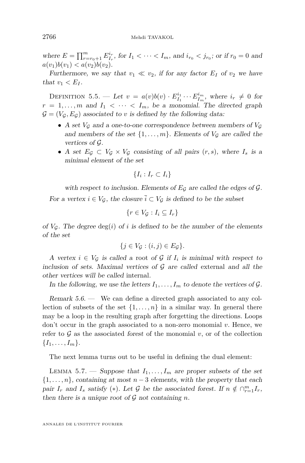<span id="page-16-0"></span>where  $E = \prod_{r=r_0+1}^{m} E_{I_r}^{i_r}$ , for  $I_1 < \cdots < I_m$ , and  $i_{r_0} < j_{r_0}$ ; or if  $r_0 = 0$  and  $a(v_1)b(v_1) < a(v_2)b(v_2)$ .

Furthermore, we say that  $v_1 \ll v_2$ , if for any factor  $E_I$  of  $v_2$  we have that  $v_1 < E_I$ .

DEFINITION 5.5. — Let  $v = a(v)b(v) \cdot E_{I_1}^{i_1} \cdots E_{I_m}^{i_m}$ , where  $i_r \neq 0$  for  $r = 1, \ldots, m$  and  $I_1 < \cdots < I_m$ , be a monomial. The directed graph  $\mathcal{G} = (V_{\mathcal{G}}, E_{\mathcal{G}})$  associated to *v* is defined by the following data:

- A set  $V_{\mathcal{G}}$  and a one-to-one correspondence between members of  $V_{\mathcal{G}}$ and members of the set  $\{1, \ldots, m\}$ . Elements of  $V_{\mathcal{G}}$  are called the vertices of G.
- A set  $E_G \subset V_G \times V_G$  consisting of all pairs  $(r, s)$ , where  $I_s$  is a minimal element of the set

$$
\{I_i : I_r \subset I_i\}
$$

with respect to inclusion. Elements of  $E_{\mathcal{G}}$  are called the edges of  $\mathcal{G}$ . For a vertex  $i \in V_G$ , the closure  $\overline{i} \subset V_G$  is defined to be the subset

$$
y, \text{ the closed set } t \in T, \text{ is defined to } S
$$

$$
\{r \in V_{\mathcal{G}} : I_i \subseteq I_r\}
$$

of  $V_G$ . The degree  $deg(i)$  of *i* is defined to be the number of the elements of the set

$$
\{j \in V_{\mathcal{G}} : (i,j) \in E_{\mathcal{G}}\}.
$$

A vertex  $i \in V_{\mathcal{G}}$  is called a root of  $\mathcal{G}$  if  $I_i$  is minimal with respect to inclusion of sets. Maximal vertices of  $G$  are called external and all the other vertices will be called internal.

In the following, we use the letters  $I_1, \ldots, I_m$  to denote the vertices of  $\mathcal{G}$ .

Remark 5.6. — We can define a directed graph associated to any collection of subsets of the set  $\{1, \ldots, n\}$  in a similar way. In general there may be a loop in the resulting graph after forgetting the directions. Loops don't occur in the graph associated to a non-zero monomial *v*. Hence, we refer to  $\mathcal G$  as the associated forest of the monomial  $v$ , or of the collection  ${I_1, \ldots, I_m}$ .

The next lemma turns out to be useful in defining the dual element:

LEMMA 5.7. — Suppose that  $I_1, \ldots, I_m$  are proper subsets of the set  $\{1, \ldots, n\}$ , containing at most  $n-3$  elements, with the property that each pair *I<sub>r</sub>* and *I<sub>s</sub>* satisfy (\*). Let G be the associated forest. If  $n \notin \bigcap_{r=1}^{m} I_r$ , then there is a unique root of  $\mathcal G$  not containing *n*.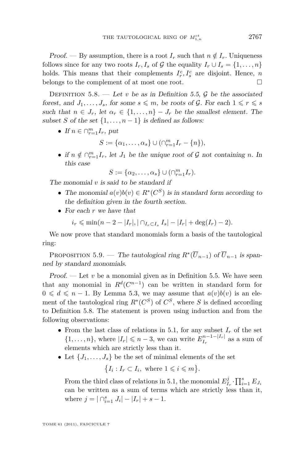<span id="page-17-0"></span>Proof. — By assumption, there is a root  $I_r$  such that  $n \notin I_r$ . Uniqueness follows since for any two roots  $I_r$ ,  $I_s$  of  $\mathcal G$  the equality  $I_r \cup I_s = \{1, \ldots, n\}$ holds. This means that their complements  $I_r^c, I_s^c$  are disjoint. Hence, *n* belongs to the complement of at most one root.

DEFINITION  $5.8.$  — Let *v* be as in Definition [5.5,](#page-16-0)  $\mathcal{G}$  be the associated forest, and  $J_1, \ldots, J_s$ , for some  $s \leq m$ , be roots of  $\mathcal{G}$ . For each  $1 \leq r \leq s$ such that  $n \in J_r$ , let  $\alpha_r \in \{1, \ldots, n\} - J_r$  be the smallest element. The subset *S* of the set  $\{1, \ldots, n-1\}$  is defined as follows:

• If  $n \in \bigcap_{r=1}^m I_r$ , put

$$
S := \{\alpha_1, \ldots, \alpha_s\} \cup (\cap_{r=1}^m I_r - \{n\}),
$$

• if  $n \notin \bigcap_{r=1}^m I_r$ , let  $J_1$  be the unique root of  $\mathcal G$  not containing *n*. In this case

$$
S := \{\alpha_2, \ldots, \alpha_s\} \cup (\cap_{r=1}^m I_r).
$$

The monomial *v* is said to be standard if

- The monomial  $a(v)b(v) \in R^*(C^S)$  is in standard form according to the definition given in the fourth section.
- For each *r* we have that

$$
i_r \leq \min(n-2-|I_r|, |\bigcap_{I_r \subset I_s} I_s| - |I_r| + \deg(I_r) - 2).
$$

We now prove that standard monomials form a basis of the tautological ring:

PROPOSITION 5.9. — The tautological ring  $R^*(\overline{U}_{n-1})$  of  $\overline{U}_{n-1}$  is spanned by standard monomials.

Proof.  $\overline{\phantom{a}}$  Let *v* be a monomial given as in Definition [5.5.](#page-16-0) We have seen that any monomial in  $R^d(C^{n-1})$  can be written in standard form for  $0 \leq d \leq n-1$ . By Lemma [5.3,](#page-14-0) we may assume that  $a(v)b(v)$  is an element of the tautological ring  $R^*(C^S)$  of  $C^S$ , where *S* is defined according to Definition 5.8. The statement is proven using induction and from the following observations:

- From the last class of relations in [5.1,](#page-13-0) for any subset  $I_r$  of the set  $\{1,\ldots,n\}$ , where  $|I_r| \leqslant n-3$ , we can write  $E_{I_r}^{n-1-|I_r|}$  $I_r^{n-1-|I_r|}$  as a sum of elements which are strictly less than it.
- Let  $\{J_1, \ldots, J_s\}$  be the set of minimal elements of the set

$$
\{I_i : I_r \subset I_i, \text{ where } 1 \leq i \leq m\}.
$$

From the third class of relations in [5.1,](#page-13-0) the monomial  $E^j_{I_r} \cdot \prod_{i=1}^s E_{J_i}$ can be written as a sum of terms which are strictly less than it, where  $j = |\bigcap_{i=1}^{s} J_i| - |I_r| + s - 1$ .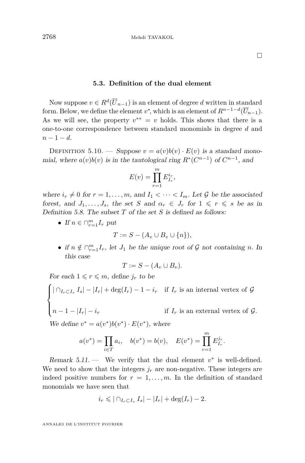#### **5.3. Definition of the dual element**

<span id="page-18-0"></span>Now suppose  $v \in R^d(\overline{U}_{n-1})$  is an element of degree *d* written in standard form. Below, we define the element  $v^*$ , which is an element of  $R^{n-1-d}(\overline{U}_{n-1})$ . As we will see, the property  $v^{**} = v$  holds. This shows that there is a one-to-one correspondence between standard monomials in degree *d* and *n* − 1 − *d*.

DEFINITION 5.10. — Suppose  $v = a(v)b(v) \cdot E(v)$  is a standard monomial, where  $a(v)b(v)$  is in the tautological ring  $R^*(C^{n-1})$  of  $C^{n-1}$ , and

$$
E(v) = \prod_{r=1}^{m} E_{I_r}^{i_r},
$$

where  $i_r \neq 0$  for  $r = 1, \ldots, m$ , and  $I_1 < \cdots < I_m$ . Let G be the associated forest, and  $J_1, \ldots, J_s$ , the set *S* and  $\alpha_r \in J_r$  for  $1 \leq r \leq s$  be as in Definition [5.8.](#page-17-0) The subset *T* of the set *S* is defined as follows:

• If  $n \in \bigcap_{r=1}^m I_r$  put

$$
T := S - (A_v \cup B_v \cup \{n\}),
$$

• if  $n \notin \bigcap_{r=1}^m I_r$ , let  $J_1$  be the unique root of  $\mathcal G$  not containing *n*. In this case

$$
T := S - (A_v \cup B_v).
$$

For each  $1 \leq r \leq m$ , define  $j_r$  to be

$$
\begin{cases} |\bigcap_{I_r \subset I_s} I_s| - |I_r| + \deg(I_r) - 1 - i_r & \text{if } I_r \text{ is an internal vertex of } \mathcal{G} \\ n - 1 - |I_r| - i_r & \text{if } I_r \text{ is an external vertex of } \mathcal{G}. \end{cases}
$$

We define  $v^* = a(v^*)b(v^*) \cdot E(v^*)$ , where

$$
a(v^*) = \prod_{i \in T} a_i
$$
,  $b(v^*) = b(v)$ ,  $E(v^*) = \prod_{r=1}^m E_{I_r}^{j_r}$ .

Remark  $5.11$ . — We verify that the dual element  $v^*$  is well-defined. We need to show that the integers  $j_r$  are non-negative. These integers are indeed positive numbers for  $r = 1, \ldots, m$ . In the definition of standard monomials we have seen that

$$
i_r \leqslant |\bigcap_{I_r \subset I_s} I_s| - |I_r| + \deg(I_r) - 2.
$$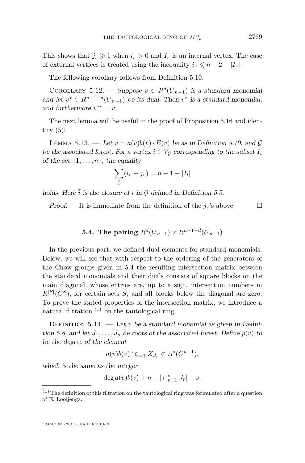<span id="page-19-0"></span>This shows that  $j_r \geq 1$  when  $i_r > 0$  and  $I_r$  is an internal vertex. The case of external vertices is treated using the inequality  $i_r \leq n-2-|I_r|$ .

The following corollary follows from Definition [5.10.](#page-18-0)

COROLLARY 5.12. — Suppose  $v \in R^d(\overline{U}_{n-1})$  is a standard monomial and let  $v^* \in R^{n-1-d}(\overline{U}_{n-1})$  be its dual. Then  $v^*$  is a standard monomial, and furthermore  $v^{**} = v$ .

The next lemma will be useful in the proof of Proposition [5.16](#page-20-0) and identity  $(5)$ :

LEMMA 5.13. — Let  $v = a(v)b(v) \cdot E(v)$  be as in Definition [5.10,](#page-18-0) and G be the associated forest. For a vertex  $i \in V_G$  corresponding to the subset  $I_i$ of the set  $\{1, \ldots, n\}$ , the equality

$$
\sum_{\bar{i}} (i_r + j_r) = n - 1 - |I_i|
$$

holds. Here  $\overline{i}$  is the closure of  $i$  in  $\mathcal G$  defined in Definition [5.5.](#page-16-0)

Proof. — It is immediate from the definition of the  $j_r$ 's above.

**5.4. The pairing** 
$$
R^d(\overline{U}_{n-1}) \times R^{n-1-d}(\overline{U}_{n-1})
$$

In the previous part, we defined dual elements for standard monomials. Below, we will see that with respect to the ordering of the generators of the Chow groups given in [5.4](#page-15-0) the resulting intersection matrix between the standard monomials and their duals consists of square blocks on the main diagonal, whose entries are, up to a sign, intersection numbers in  $R^{|S|}(C^S)$ , for certain sets *S*, and all blocks below the diagonal are zero. To prove the stated properties of the intersection matrix, we introduce a natural filtration  $(1)$  on the tautological ring.

DEFINITION  $5.14.$  — Let *v* be a standard monomial as given in Defini-tion [5.8,](#page-17-0) and let  $J_1, \ldots, J_s$  be roots of the associated forest. Define  $p(v)$  to be the degree of the element

 $a(v)b(v) \cap_{r=1}^{s} X_{J_r} \in A^*(C^{n-1}),$ 

which is the same as the integer

$$
\deg a(v)b(v) + n - |\bigcap_{r=1}^s J_r| - s.
$$

 $(1)$  The definition of this filtration on the tautological ring was formulated after a question of E. Looijenga.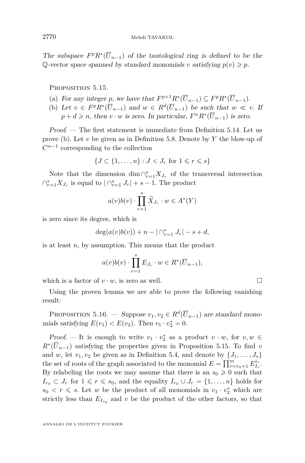<span id="page-20-0"></span>The subspace  $F^p R^* (\overline{U}_{n-1})$  of the tautological ring is defined to be the Q-vector space spanned by standard monomials *v* satisfying  $p(v) \geq p$ .

PROPOSITION 5.15.

- (a) For any integer *p*, we have that  $F^{p+1}R^*(\overline{U}_{n-1}) \subseteq F^pR^*(\overline{U}_{n-1})$ .
- (b) Let  $v \in F^p R^* (\overline{U}_{n-1})$  and  $w \in R^d (\overline{U}_{n-1})$  be such that  $w \ll v$ . If  $p + d \geq n$ , then *v* · *w* is zero. In particular,  $F^n R^*(\overline{U}_{n-1})$  is zero.

Proof. — The first statement is immediate from Definition [5.14.](#page-19-0) Let us prove (b). Let *v* be given as in Definition [5.8.](#page-17-0) Denote by *Y* the blow-up of  $C^{n-1}$  corresponding to the collection

$$
\{J\subset \{1,\ldots,n\}: J< J_r \text{ for } 1\leqslant r\leqslant s\}
$$

Note that the dimension  $\dim \bigcap_{r=1}^s X_{J_r}$  of the transversal intersection  $\bigcap_{r=1}^s X_{J_r}$  is equal to  $\bigcap_{r=1}^s J_r \big| + s - 1$ . The product

$$
a(v)b(v)\cdot\prod_{r=1}^s\widetilde{X}_{J_r}\cdot w\in A^*(Y)
$$

is zero since its degree, which is

$$
deg(a(v)b(v)) + n - |\bigcap_{r=1}^{s} J_r| - s + d,
$$

is at least *n*, by assumption. This means that the product

$$
a(v)b(v) \cdot \prod_{r=1}^{s} E_{J_r} \cdot w \in R^*(\overline{U}_{n-1}),
$$

which is a factor of  $v \cdot w$ , is zero as well.

Using the proven lemma we are able to prove the following vanishing result:

PROPOSITION 5.16. — Suppose  $v_1, v_2 \in R^d(\overline{U}_{n-1})$  are standard monomials satisfying  $E(v_1) < E(v_2)$ . Then  $v_1 \cdot v_2^* = 0$ .

*Proof.* — It is enough to write  $v_1 \cdot v_2^*$  as a product  $v \cdot w$ , for  $v, w \in$  $R^*(\overline{U}_{n-1})$  satisfying the properties given in Proposition 5.15. To find *v* and *w*, let  $v_1, v_2$  be given as in Definition [5.4,](#page-15-0) and denote by  $\{J_1, \ldots, J_s\}$ the set of roots of the graph associated to the monomial  $E = \prod_{r=r_0+1}^{m} E_{I_r}^{i_r}$ . By relabeling the roots we may assume that there is an  $s_0 \geq 0$  such that  $I_{r_0} \subset J_r$  for  $1 \leq r \leq s_0$ , and the equality  $I_{r_0} \cup J_r = \{1, \ldots, n\}$  holds for  $s_0 < r \le s$ . Let *w* be the product of all monomials in  $v_1 \cdot v_2^*$  which are strictly less than  $E_{I_{r_0}}$  and  $v$  be the product of the other factors, so that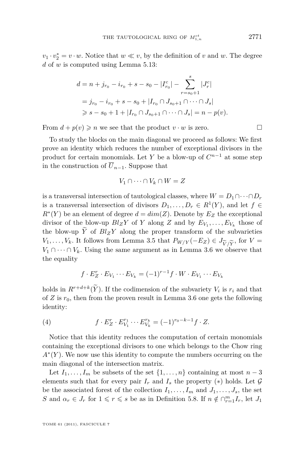<span id="page-21-0"></span> $v_1 \cdot v_2^* = v \cdot w$ . Notice that  $w \ll v$ , by the definition of *v* and *w*. The degree *d* of *w* is computed using Lemma [5.13:](#page-19-0)

$$
d = n + j_{r_0} - i_{r_0} + s - s_0 - |I_{r_0}^c| - \sum_{r=s_0+1}^s |J_r^c|
$$
  
=  $j_{r_0} - i_{r_0} + s - s_0 + |I_{r_0} \cap J_{s_0+1} \cap \cdots \cap J_s|$   
 $\geq s - s_0 + 1 + |I_{r_0} \cap J_{s_0+1} \cap \cdots \cap J_s| = n - p(v).$ 

From  $d + p(v) \geq n$  we see that the product  $v \cdot w$  is zero.

To study the blocks on the main diagonal we proceed as follows: We first prove an identity which reduces the number of exceptional divisors in the product for certain monomials. Let *Y* be a blow-up of  $C^{n-1}$  at some step in the construction of  $\overline{U}_{n-1}$ . Suppose that

$$
V_1 \cap \dots \cap V_k \cap W = Z
$$

is a transversal intersection of tautological classes, where  $W = D_1 \cap \cdots \cap D_r$ is a transversal intersection of divisors  $D_1, \ldots, D_r \in R^1(Y)$ , and let  $f \in$  $R^*(Y)$  be an element of degree  $d = dim(Z)$ . Denote by  $E_Z$  the exceptional divisor of the blow-up  $Bl_ZY$  of  $Y$  along  $Z$  and by  $E_{V_1}, \ldots, E_{V_k}$  those of the blow-up  $\overline{Y}$  of  $Bl_ZY$  along the proper transform of the subvarieties *V*<sub>1</sub>*,..., V*<sub>*k*</sub>. It follows from Lemma [3.5](#page-9-0) that  $P_{W/Y}(-E_Z) \in J_{\widetilde{V}/\widetilde{Y}}$ , for  $V =$ *V*<sub>1</sub> ∩ · · · ∩ *V*<sub>*k*</sub>. Using the same argument as in Lemma [3.6](#page-9-0) we observe that the equality

$$
f \cdot E_Z^r \cdot E_{V_1} \cdots E_{V_k} = (-1)^{r-1} f \cdot W \cdot E_{V_1} \cdots E_{V_k}
$$

holds in  $R^{r+d+k}(\tilde{Y})$ . If the codimension of the subvariety  $V_i$  is  $r_i$  and that of  $Z$  is  $r_0$ , then from the proven result in Lemma [3.6](#page-9-0) one gets the following identity:

(4) 
$$
f \cdot E_Z^r \cdot E_{V_1}^{r_1} \cdots E_{V_k}^{r_k} = (-1)^{r_0 - k - 1} f \cdot Z.
$$

Notice that this identity reduces the computation of certain monomials containing the exceptional divisors to one which belongs to the Chow ring *A*<sup>∗</sup>(*Y*). We now use this identity to compute the numbers occurring on the main diagonal of the intersection matrix.

Let  $I_1, \ldots, I_m$  be subsets of the set  $\{1, \ldots, n\}$  containing at most  $n-3$ elements such that for every pair  $I_r$  and  $I_s$  the property (\*) holds. Let  $\mathcal G$ be the associated forest of the collection  $I_1, \ldots, I_m$  and  $J_1, \ldots, J_s$ , the set *S* and  $\alpha_r \in J_r$  for  $1 \leq r \leq s$  be as in Definition [5.8.](#page-17-0) If  $n \notin \bigcap_{r=1}^m I_r$ , let  $J_1$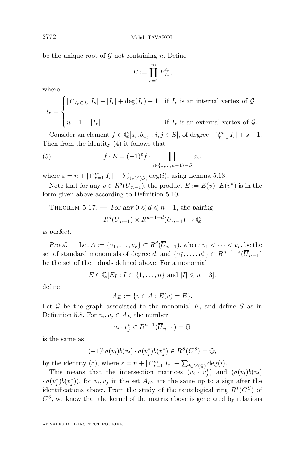be the unique root of  $G$  not containing  $n$ . Define

$$
E := \prod_{r=1}^m E_{I_r}^{i_r},
$$

where

$$
i_r = \begin{cases} |\bigcap_{I_r \subset I_s} I_s| - |I_r| + \deg(I_r) - 1 & \text{if } I_r \text{ is an internal vertex of } \mathcal{G} \\ n - 1 - |I_r| & \text{if } I_r \text{ is an external vertex of } \mathcal{G}. \end{cases}
$$

Consider an element  $f \in \mathbb{Q}[a_i, b_{i,j} : i, j \in S]$ , of degree  $|\bigcap_{r=1}^m I_r| + s - 1$ . Then from the identity [\(4\)](#page-21-0) it follows that

(5) 
$$
f \cdot E = (-1)^{\varepsilon} f \cdot \prod_{i \in \{1, ..., n-1\} - S} a_i.
$$

where  $\varepsilon = n + |\bigcap_{r=1}^{m} I_r| + \sum_{i \in V(G)} \deg(i)$ , using Lemma [5.13.](#page-19-0)

Note that for any  $v \in R^d(\overline{U}_{n-1})$ , the product  $E := E(v) \cdot E(v^*)$  is in the form given above according to Definition [5.10.](#page-18-0)

THEOREM 5.17. — For any  $0 \le d \le n-1$ , the pairing  $R^d(\overline{U}_{n-1}) \times R^{n-1-d}(\overline{U}_{n-1}) \to \mathbb{Q}$ 

is perfect.

Proof. — Let  $A := \{v_1, \ldots, v_r\} \subset R^d(\overline{U}_{n-1}),$  where  $v_1 < \cdots < v_r$ , be the set of standard monomials of degree *d*, and  $\{v_1^*, \ldots, v_r^*\} \subset R^{n-1-d}(\overline{U}_{n-1})$ be the set of their duals defined above. For a monomial

$$
E \in \mathbb{Q}[E_I : I \subset \{1, \ldots, n\} \text{ and } |I| \leq n-3],
$$

define

$$
A_E := \{ v \in A : E(v) = E \}.
$$

Let  $G$  be the graph associated to the monomial  $E$ , and define  $S$  as in Definition [5.8.](#page-17-0) For  $v_i, v_j \in A_E$  the number

$$
v_i \cdot v_j^* \in R^{n-1}(\overline{U}_{n-1}) = \mathbb{Q}
$$

is the same as

$$
(-1)^{\varepsilon} a(v_i)b(v_i) \cdot a(v_j^*)b(v_j^*) \in R^S(C^S) = \mathbb{Q},
$$

by the identity (5), where  $\varepsilon = n + |\bigcap_{r=1}^{m} I_r| + \sum_{i \in V(\mathcal{G})} \deg(i)$ .

This means that the intersection matrices  $(v_i \cdot v_j^*)$  and  $(a(v_i)b(v_i))$  $(a(v_j^*)b(v_j^*))$ , for  $v_i, v_j$  in the set  $A_E$ , are the same up to a sign after the identifications above. From the study of the tautological ring  $R^*(C^S)$  of  $C<sup>S</sup>$ , we know that the kernel of the matrix above is generated by relations

<span id="page-22-0"></span>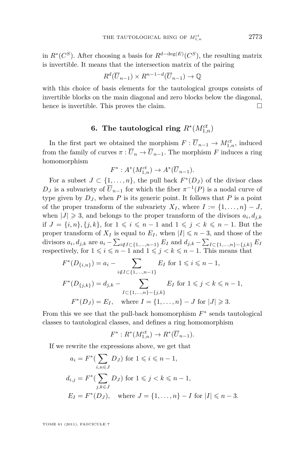in  $R^*(C^S)$ . After choosing a basis for  $R^{d-\deg(E)}(C^S)$ , the resulting matrix is invertible. It means that the intersection matrix of the pairing

$$
R^d(\overline{U}_{n-1}) \times R^{n-1-d}(\overline{U}_{n-1}) \to \mathbb{Q}
$$

with this choice of basis elements for the tautological groups consists of invertible blocks on the main diagonal and zero blocks below the diagonal, hence is invertible. This proves the claim.

## **6.** The tautological ring  $R^*(M_{1,n}^{ct})$

In the first part we obtained the morphism  $F: \overline{U}_{n-1} \to M_{1,n}^{ct}$ , induced from the family of curves  $\pi : \overline{U}_n \to \overline{U}_{n-1}$ . The morphism *F* induces a ring homomorphism

$$
F^*: A^*(M^{ct}_{1,n}) \to A^*(\overline{U}_{n-1}).
$$

For a subset  $J \subset \{1, \ldots, n\}$ , the pull back  $F^*(D_J)$  of the divisor class  $D_J$  is a subvariety of  $\overline{U}_{n-1}$  for which the fiber  $\pi^{-1}(P)$  is a nodal curve of type given by  $D_J$ , when  $P$  is its generic point. It follows that  $P$  is a point of the proper transform of the subvariety  $X_I$ , where  $I := \{1, \ldots, n\} - J$ , when  $|J| \geq 3$ , and belongs to the proper transform of the divisors  $a_i, d_{j,k}$ if *J* = {*i, n*}, {*j, k*}, for  $1 \le i \le n-1$  and  $1 \le j \le k \le n-1$ . But the proper transform of  $X_I$  is equal to  $E_I$ , when  $|I| \leq n-3$ , and those of the divisors  $a_i, d_{j,k}$  are  $a_i - \sum_{i \notin I \subset \{1, ..., n-1\}} E_I$  and  $d_{j,k} - \sum_{I \subset \{1, ..., n\} - \{j,k\}} E_I$ respectively, for  $1 \leq i \leq n-1$  and  $1 \leq j \leq k \leq n-1$ . This means that

$$
F^*(D_{\{i,n\}}) = a_i - \sum_{i \notin I \subset \{1,\dots,n-1\}} E_I \text{ for } 1 \le i \le n-1,
$$
  

$$
F^*(D_{\{j,k\}}) = d_{j,k} - \sum_{I \subset \{1,\dots,n\} - \{j,k\}} E_I \text{ for } 1 \le j < k \le n-1,
$$
  

$$
F^*(D_J) = E_I, \quad \text{where } I = \{1,\dots,n\} - J \text{ for } |J| \ge 3.
$$

From this we see that the pull-back homomorphism  $F^*$  sends tautological classes to tautological classes, and defines a ring homomorphism

$$
F^*: R^*(M^{ct}_{1,n}) \to R^*(\overline{U}_{n-1}).
$$

If we rewrite the expressions above, we get that

$$
a_i = F^*(\sum_{i,n \in J} D_J) \text{ for } 1 \leq i \leq n-1,
$$
  
\n
$$
d_{i,j} = F^*(\sum_{j,k \in J} D_J) \text{ for } 1 \leq j < k \leq n-1,
$$
  
\n
$$
E_I = F^*(D_J), \quad \text{where } J = \{1, \dots, n\} - I \text{ for } |I| \leq n-3.
$$

TOME 61 (2011), FASCICULE 7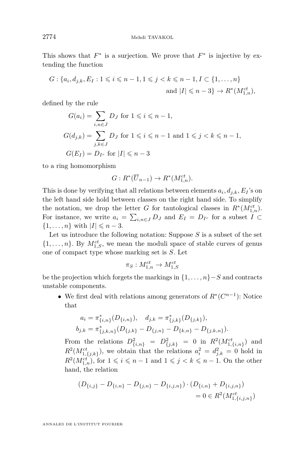This shows that  $F^*$  is a surjection. We prove that  $F^*$  is injective by extending the function

$$
G: \{a_i, d_{j,k}, E_I : 1 \le i \le n-1, 1 \le j < k \le n-1, I \subset \{1, \ldots, n\}
$$
\n
$$
\text{and } |I| \le n-3\} \to R^*(M_{1,n}^{ct}),
$$

defined by the rule

$$
G(a_i) = \sum_{i,n \in J} D_J \text{ for } 1 \leq i \leq n-1,
$$
  
\n
$$
G(d_{j,k}) = \sum_{j,k \in J} D_J \text{ for } 1 \leq i \leq n-1 \text{ and } 1 \leq j < k \leq n-1,
$$
  
\n
$$
G(E_I) = D_{I^c} \text{ for } |I| \leq n-3
$$

to a ring homomorphism

$$
G: R^*(\overline{U}_{n-1}) \to R^*(M^{ct}_{1,n}).
$$

This is done by verifying that all relations between elements  $a_i, d_{j,k}, E_I$ 's on the left hand side hold between classes on the right hand side. To simplify the notation, we drop the letter *G* for tautological classes in  $R^*(M_{1,n}^{ct})$ . For instance, we write  $a_i = \sum_{i,n \in J} D_J$  and  $E_I = D_{I^c}$  for a subset  $I \subset$  $\{1, \ldots, n\}$  with  $|I| \leq n-3$ .

Let us introduce the following notation: Suppose *S* is a subset of the set  $\{1, \ldots, n\}$ . By  $M_{1,S}^{ct}$ , we mean the moduli space of stable curves of genus one of compact type whose marking set is *S*. Let

$$
\pi_S: M_{1,n}^{ct} \to M_{1,S}^{ct}
$$

be the projection which forgets the markings in  $\{1, \ldots, n\}$  – *S* and contracts unstable components.

• We first deal with relations among generators of  $R^*(C^{n-1})$ : Notice that

$$
a_i = \pi_{\{i,n\}}^*(D_{\{i,n\}}), \quad d_{j,k} = \pi_{\{j,k\}}^*(D_{\{j,k\}}),
$$
  

$$
b_{j,k} = \pi_{\{j,k,n\}}^*(D_{\{j,k\}} - D_{\{j,n\}} - D_{\{k,n\}} - D_{\{j,k,n\}}).
$$

From the relations  $D^2_{\{i,n\}} = D^2_{\{j,k\}} = 0$  in  $R^2(M^{ct}_{1,\{i,n\}})$  and  $R^2(M_{1,\lbrace j,k \rbrace}^{ct}),$  we obtain that the relations  $a_i^2 = d_{j,k}^2 = 0$  hold in  $R^2(M_{1,n}^{ct}),$  for  $1 \leqslant i \leqslant n-1$  and  $1 \leqslant j < k \leqslant n-1$ . On the other hand, the relation

$$
(D_{\{i,j\}} - D_{\{i,n\}} - D_{\{j,n\}} - D_{\{i,j,n\}}) \cdot (D_{\{i,n\}} + D_{\{i,j,n\}})
$$
  
= 0 \in R<sup>2</sup>(M<sub>1,\{i,j,n\}</sub><sup>ct</sup>)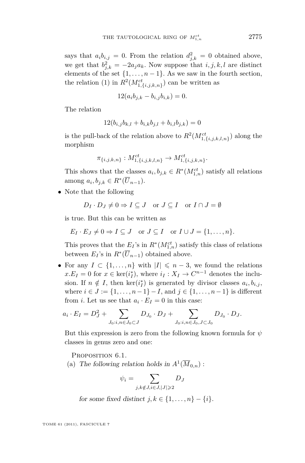says that  $a_i b_{i,j} = 0$ . From the relation  $d_{j,k}^2 = 0$  obtained above, we get that  $b_{j,k}^2 = -2a_ja_k$ . Now suppose that  $i, j, k, l$  are distinct elements of the set  $\{1, \ldots, n-1\}$ . As we saw in the fourth section, the relation [\(1\)](#page-10-0) in  $R^2(M_{{1,\{i,j,k,n\}}}^{ct})$  can be written as

$$
12(a_i b_{j,k} - b_{i,j} b_{i,k}) = 0.
$$

The relation

$$
12(b_{i,j}b_{k,l} + b_{i,k}b_{j,l} + b_{i,l}b_{j,k}) = 0
$$

is the pull-back of the relation above to  $R^2(M^{ct}_{1,\{i,j,k,l,n\}})$  along the morphism

$$
\pi_{\{i,j,k,n\}}: M_{1,\{i,j,k,l,n\}}^{ct} \to M_{1,\{i,j,k,n\}}^{ct}.
$$

This shows that the classes  $a_i, b_{j,k} \in R^*(M_{1,n}^{ct})$  satisfy all relations among  $a_i, b_{j,k} \in R^*(\overline{U}_{n-1}).$ 

• Note that the following

$$
D_I \cdot D_J \neq 0 \Rightarrow I \subseteq J \quad \text{or } J \subseteq I \quad \text{or } I \cap J = \emptyset
$$

is true. But this can be written as

$$
E_I \cdot E_J \neq 0 \Rightarrow I \subseteq J \quad \text{or } J \subseteq I \quad \text{or } I \cup J = \{1, \dots, n\}.
$$

This proves that the  $E_I$ 's in  $R^*(M_{1,n}^{ct})$  satisfy this class of relations between  $E_I$ 's in  $R^*(\overline{U}_{n-1})$  obtained above.

• For any  $I \subset \{1, \ldots, n\}$  with  $|I| \leq n-3$ , we found the relations  $x.E_I = 0$  for  $x \in \text{ker}(i_I^*)$ , where  $i_I : X_I \to C^{n-1}$  denotes the inclusion. If  $n \notin I$ , then  $\ker(i_I^*)$  is generated by divisor classes  $a_i, b_{i,j}$ , where  $i \in J := \{1, \ldots, n-1\} - I$ , and  $j \in \{1, \ldots, n-1\}$  is different from *i*. Let us see that  $a_i \cdot E_I = 0$  in this case:

$$
a_i \cdot E_I = D_J^2 + \sum_{J_0:i,n \in J_0 \subset J} D_{J_0} \cdot D_J + \sum_{J_0:i,n \in J_0, J \subset J_0} D_{J_0} \cdot D_J.
$$

But this expression is zero from the following known formula for *ψ* classes in genus zero and one:

PROPOSITION 6.1.

(a) The following relation holds in  $A^1(\overline{M}_{0,n})$ :

$$
\psi_i = \sum_{j,k \notin J, i \in J, |J| \geqslant 2} D_J
$$

for some fixed distinct  $j, k \in \{1, \ldots, n\} - \{i\}.$ 

TOME 61 (2011), FASCICULE 7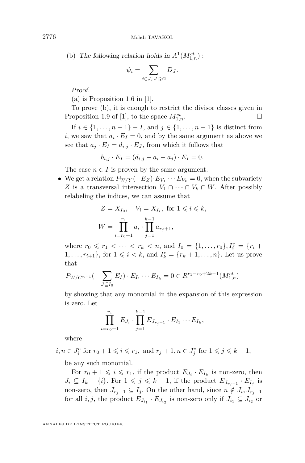(b) The following relation holds in  $A^1(M_{1,n}^{ct})$ :

$$
\psi_i = \sum_{i \in J, |J| \geqslant 2} D_J.
$$

Proof.

(a) is Proposition 1.6 in [\[1\]](#page-28-0).

To prove (b), it is enough to restrict the divisor classes given in Proposition 1.9 of [\[1\]](#page-28-0), to the space  $M_{1,n}^{ct}$ .  $\prod_{1,n}^{ct}$ .

If *i* ∈ {1, . . . , *n* − 1} − *I*, and *j* ∈ {1, . . . , *n* − 1} is distinct from *i*, we saw that  $a_i \cdot E_I = 0$ , and by the same argument as above we see that  $a_j \cdot E_I = d_{i,j} \cdot E_J$ , from which it follows that

$$
b_{i,j} \cdot E_I = (d_{i,j} - a_i - a_j) \cdot E_I = 0.
$$

The case  $n \in I$  is proven by the same argument.

• We get a relation  $P_{W/Y}(-E_Z) \cdot E_{V_1} \cdots E_{V_k} = 0$ , when the subvariety *Z* is a transversal intersection  $V_1 \cap \cdots \cap V_k \cap W$ . After possibly relabeling the indices, we can assume that

$$
Z = X_{I_0}, \quad V_i = X_{I_i}, \text{ for } 1 \leq i \leq k,
$$
  

$$
W = \prod_{i=r_0+1}^{r_1} a_i \cdot \prod_{j=1}^{k-1} a_{r_j+1},
$$

where  $r_0 \le r_1 < \cdots < r_k < n$ , and  $I_0 = \{1, \ldots, r_0\}$ ,  $I_i^c = \{r_i +$  $1, \ldots, r_{i+1}$ , for  $1 \leq i \leq k$ , and  $I_k^c = \{r_k + 1, \ldots, n\}$ . Let us prove that

$$
P_{W/C^{n-1}}(-\sum_{J\subseteq I_0}E_I)\cdot E_{I_1}\cdots E_{I_k}=0\in R^{r_1-r_0+2k-1}(M_{1,n}^{ct})
$$

by showing that any monomial in the expansion of this expression is zero. Let

$$
\prod_{i=r_0+1}^{r_1} E_{J_i} \cdot \prod_{j=1}^{k-1} E_{J_{r_j+1}} \cdot E_{I_1} \cdots E_{I_k},
$$

where

 $i, n \in J_i^c$  for  $r_0 + 1 \leq i \leq r_1$ , and  $r_j + 1, n \in J_j^c$  for  $1 \leq j \leq k - 1$ ,

be any such monomial.

For  $r_0 + 1 \leq i \leq r_1$ , if the product  $E_{J_i} \cdot E_{I_k}$  is non-zero, then  $J_i \subseteq I_k - \{i\}$ . For  $1 \leqslant j \leqslant k-1$ , if the product  $E_{J_{r_j+1}} \cdot E_{I_j}$  is non-zero, then  $J_{r_j+1} \subseteq I_j$ . On the other hand, since  $n \notin J_i, J_{r_j+1}$ for all  $i, j$ , the product  $E_{J_{i_1}} \cdot E_{J_{i_2}}$  is non-zero only if  $J_{i_1} \subseteq J_{i_2}$  or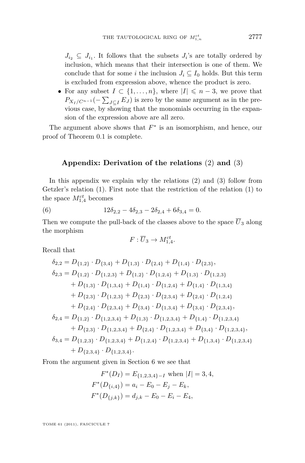<span id="page-27-0"></span> $J_{i_2} \subseteq J_{i_1}$ . It follows that the subsets  $J_i$ 's are totally ordered by inclusion, which means that their intersection is one of them. We conclude that for some *i* the inclusion  $J_i \subseteq I_0$  holds. But this term is excluded from expression above, whence the product is zero.

• For any subset  $I \subset \{1, \ldots, n\}$ , where  $|I| \leq n-3$ , we prove that  $P_{X_I/C^{n-1}}(-\sum_{J\subseteq I}E_J)$  is zero by the same argument as in the previous case, by showing that the monomials occurring in the expansion of the expression above are all zero.

The argument above shows that  $F^*$  is an isomorphism, and hence, our proof of Theorem [0.1](#page-2-0) is complete.

#### **Appendix: Derivation of the relations** [\(2\)](#page-10-0) **and** [\(3\)](#page-10-0)

In this appendix we explain why the relations [\(2\)](#page-10-0) and [\(3\)](#page-10-0) follow from Getzler's relation [\(1\)](#page-10-0). First note that the restriction of the relation [\(1\)](#page-10-0) to the space  $M_{1,4}^{ct}$  becomes

(6) 
$$
12\delta_{2,2} - 4\delta_{2,3} - 2\delta_{2,4} + 6\delta_{3,4} = 0.
$$

Then we compute the pull-back of the classes above to the space  $\overline{U}_3$  along the morphism

$$
F:\overline{U}_3\to M^{ct}_{1,4}.
$$

Recall that

$$
\delta_{2,2} = D_{\{1,2\}} \cdot D_{\{3,4\}} + D_{\{1,3\}} \cdot D_{\{2,4\}} + D_{\{1,4\}} \cdot D_{\{2,3\}},
$$
\n
$$
\delta_{2,3} = D_{\{1,2\}} \cdot D_{\{1,2,3\}} + D_{\{1,2\}} \cdot D_{\{1,2,4\}} + D_{\{1,3\}} \cdot D_{\{1,2,3\}} + D_{\{1,3\}} \cdot D_{\{1,3,4\}} + D_{\{1,3\}} \cdot D_{\{1,3,4\}} + D_{\{1,4\}} \cdot D_{\{1,2,4\}} + D_{\{1,4\}} \cdot D_{\{1,3,4\}} + D_{\{2,3\}} \cdot D_{\{1,2,3\}} + D_{\{2,3\}} \cdot D_{\{2,3,4\}} + D_{\{2,4\}} \cdot D_{\{1,2,4\}} + D_{\{2,4\}} \cdot D_{\{2,4\}} \cdot D_{\{2,3,4\}},
$$
\n
$$
\delta_{2,4} = D_{\{1,2\}} \cdot D_{\{1,2,3,4\}} + D_{\{1,3\}} \cdot D_{\{1,2,3,4\}} + D_{\{1,4\}} \cdot D_{\{1,2,3,4\}},
$$
\n
$$
\delta_{2,4} = D_{\{1,2\}} \cdot D_{\{1,2,3,4\}} + D_{\{1,3\}} \cdot D_{\{1,2,3,4\}} + D_{\{1,4\}} \cdot D_{\{1,2,3,4\}},
$$
\n
$$
\delta_{3,4} = D_{\{1,2,3\}} \cdot D_{\{1,2,3,4\}} + D_{\{1,2,4\}} \cdot D_{\{1,2,3,4\}} + D_{\{1,3,4\}} \cdot D_{\{1,2,3,4\}},
$$
\n
$$
\delta_{3,4} = D_{\{1,2,3\}} \cdot D_{\{1,2,3,4\}} + D_{\{1,2,4\}} \cdot D_{\{1,2,3,4\}} + D_{\{1,3,4\}} \cdot D_{\{1,2,3,4\}} + D_{\{2,3,4\}} \cdot D_{\{1,2,3,4\}}.
$$

From the argument given in Section 6 we see that

$$
F^*(D_I) = E_{\{1,2,3,4\}-I} \text{ when } |I| = 3, 4,
$$
  
\n
$$
F^*(D_{\{i,4\}}) = a_i - E_0 - E_j - E_k,
$$
  
\n
$$
F^*(D_{\{j,k\}}) = d_{j,k} - E_0 - E_i - E_4,
$$

TOME 61 (2011), FASCICULE 7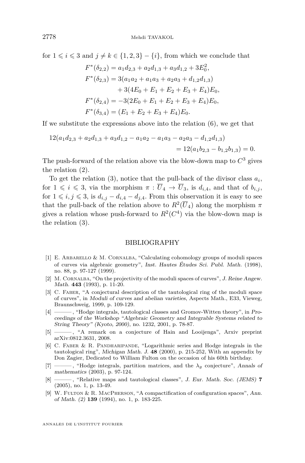<span id="page-28-0"></span>for  $1 \leq i \leq 3$  and  $j \neq k \in \{1, 2, 3\} - \{i\}$ , from which we conclude that

$$
F^*(\delta_{2,2}) = a_1 d_{2,3} + a_2 d_{1,3} + a_3 d_{1,2} + 3E_0^2,
$$
  
\n
$$
F^*(\delta_{2,3}) = 3(a_1 a_2 + a_1 a_3 + a_2 a_3 + d_{1,2} d_{1,3})
$$
  
\n
$$
+ 3(4E_0 + E_1 + E_2 + E_3 + E_4)E_0,
$$
  
\n
$$
F^*(\delta_{2,4}) = -3(2E_0 + E_1 + E_2 + E_3 + E_4)E_0,
$$
  
\n
$$
F^*(\delta_{3,4}) = (E_1 + E_2 + E_3 + E_4)E_0.
$$

If we substitute the expressions above into the relation [\(6\)](#page-27-0), we get that

$$
12(a_1d_{2,3} + a_2d_{1,3} + a_3d_{1,2} - a_1a_2 - a_1a_3 - a_2a_3 - d_{1,2}d_{1,3})
$$
  
= 12(a\_1b\_{2,3} - b\_{1,2}b\_{1,3}) = 0.

The push-forward of the relation above via the blow-down map to  $C^3$  gives the relation [\(2\)](#page-10-0).

To get the relation  $(3)$ , notice that the pull-back of the divisor class  $a_i$ , for  $1 \leq i \leq 3$ , via the morphism  $\pi : \overline{U}_4 \to \overline{U}_3$ , is  $d_{i,4}$ , and that of  $b_{i,j}$ , for  $1 \leq i, j \leq 3$ , is  $d_{i,j} - d_{i,4} - d_{j,4}$ . From this observation it is easy to see that the pull-back of the relation above to  $R^2(\overline{U}_4)$  along the morphism  $\pi$ gives a relation whose push-forward to  $R^2(C^4)$  via the blow-down map is the relation [\(3\)](#page-10-0).

#### BIBLIOGRAPHY

- [1] E. Arbarello & M. Cornalba, "Calculating cohomology groups of moduli spaces of curves via algebraic geometry", Inst. Hautes Études Sci. Publ. Math. (1998), no. 88, p. 97-127 (1999).
- [2] M. Cornalba, "On the projectivity of the moduli spaces of curves", J. Reine Angew. Math. **443** (1993), p. 11-20.
- [3] C. Faber, "A conjectural description of the tautological ring of the moduli space of curves", in Moduli of curves and abelian varieties, Aspects Math., E33, Vieweg, Braunschweig, 1999, p. 109-129.
- [4] ——— , "Hodge integrals, tautological classes and Gromov-Witten theory", in Proceedings of the Workshop "Algebraic Geometry and Integrable Systems related to String Theory" (Kyoto, 2000), no. 1232, 2001, p. 78-87.
- [5] ——— , "A remark on a conjecture of Hain and Looijenga", Arxiv preprint arXiv:0812.3631, 2008.
- [6] C. Faber & R. Pandharipande, "Logarithmic series and Hodge integrals in the tautological ring", Michigan Math. J. **48** (2000), p. 215-252, With an appendix by Don Zagier, Dedicated to William Fulton on the occasion of his 60th birthday.
- [7] ——— , "Hodge integrals, partition matrices, and the *λg* conjecture", Annals of mathematics (2003), p. 97-124.
- [8] ——— , "Relative maps and tautological classes", J. Eur. Math. Soc. (JEMS) **7** (2005), no. 1, p. 13-49.
- [9] W. Fulton & R. MacPherson, "A compactification of configuration spaces", Ann. of Math. (2) **139** (1994), no. 1, p. 183-225.